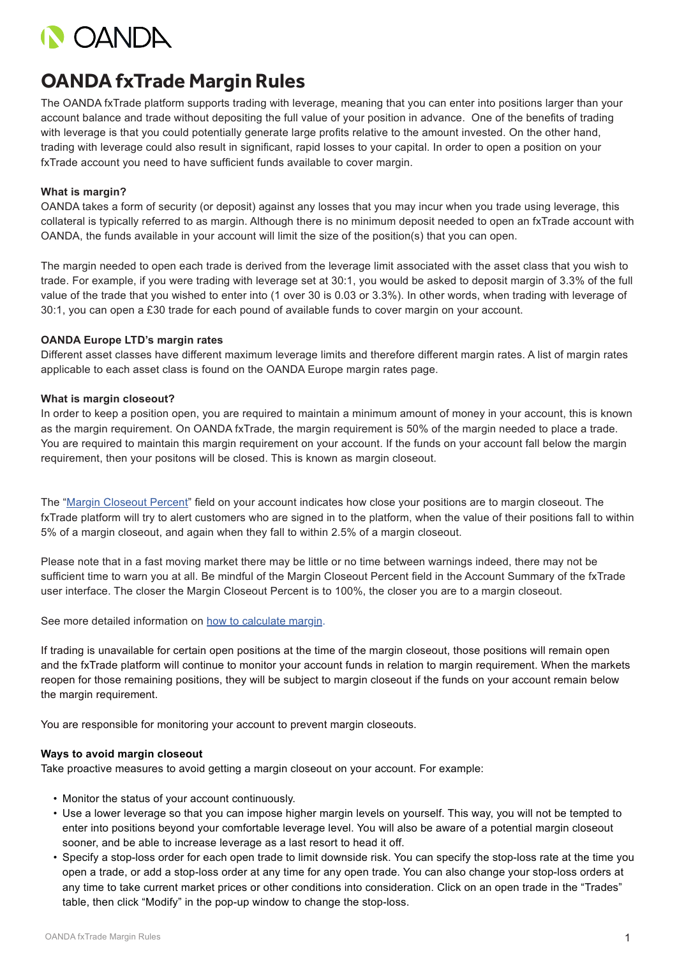

# **OANDA fxTrade Margin Rules**

The OANDA fxTrade platform supports trading with leverage, meaning that you can enter into positions larger than your account balance and trade without depositing the full value of your position in advance. One of the benefits of trading with leverage is that you could potentially generate large profits relative to the amount invested. On the other hand, trading with leverage could also result in significant, rapid losses to your capital. In order to open a position on your fxTrade account you need to have sufficient funds available to cover margin.

## **What is margin?**

OANDA takes a form of security (or deposit) against any losses that you may incur when you trade using leverage, this collateral is typically referred to as margin. Although there is no minimum deposit needed to open an fxTrade account with OANDA, the funds available in your account will limit the size of the position(s) that you can open.

The margin needed to open each trade is derived from the leverage limit associated with the asset class that you wish to trade. For example, if you were trading with leverage set at 30:1, you would be asked to deposit margin of 3.3% of the full value of the trade that you wished to enter into (1 over 30 is 0.03 or 3.3%). In other words, when trading with leverage of 30:1, you can open a £30 trade for each pound of available funds to cover margin on your account.

### **OANDA Europe LTD's margin rates**

Different asset classes have different maximum leverage limits and therefore different margin rates. A list of margin rates applicable to each asset class is found on the OANDA Europe margin rates page.

### **What is margin closeout?**

In order to keep a position open, you are required to maintain a minimum amount of money in your account, this is known as the margin requirement. On OANDA fxTrade, the margin requirement is 50% of the margin needed to place a trade. You are required to maintain this margin requirement on your account. If the funds on your account fall below the margin requirement, then your positons will be closed. This is known as margin closeout.

The "[Margin Closeout Percent](https://oanda.secure.force.com/AnswersSupport?urlName=Account-Summary-1436196464452&language=en_US)" field on your account indicates how close your positions are to margin closeout. The fxTrade platform will try to alert customers who are signed in to the platform, when the value of their positions fall to within 5% of a margin closeout, and again when they fall to within 2.5% of a margin closeout.

Please note that in a fast moving market there may be little or no time between warnings indeed, there may not be sufficient time to warn you at all. Be mindful of the Margin Closeout Percent field in the Account Summary of the fxTrade user interface. The closer the Margin Closeout Percent is to 100%, the closer you are to a margin closeout.

See more detailed information on [how to calculate margin.](https://oanda.secure.force.com/AnswersSupport?urlName=How-to-Calculate-a-Margin-Closeout-1436196462931&language=en_US)

If trading is unavailable for certain open positions at the time of the margin closeout, those positions will remain open and the fxTrade platform will continue to monitor your account funds in relation to margin requirement. When the markets reopen for those remaining positions, they will be subject to margin closeout if the funds on your account remain below the margin requirement.

You are responsible for monitoring your account to prevent margin closeouts.

### **Ways to avoid margin closeout**

Take proactive measures to avoid getting a margin closeout on your account. For example:

- Monitor the status of your account continuously.
- Use a lower leverage so that you can impose higher margin levels on yourself. This way, you will not be tempted to enter into positions beyond your comfortable leverage level. You will also be aware of a potential margin closeout sooner, and be able to increase leverage as a last resort to head it off.
- Specify a stop-loss order for each open trade to limit downside risk. You can specify the stop-loss rate at the time you open a trade, or add a stop-loss order at any time for any open trade. You can also change your stop-loss orders at any time to take current market prices or other conditions into consideration. Click on an open trade in the "Trades" table, then click "Modify" in the pop-up window to change the stop-loss.